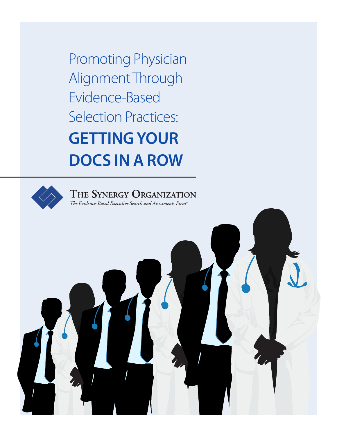Promoting Physician Alignment Through Evidence-Based Selection Practices: **GETTING YOUR DOCS IN A ROW**



THE SYNERGY ORGANIZATION The Evidence-Based Executive Search and Assessments Firm<sup>74</sup>

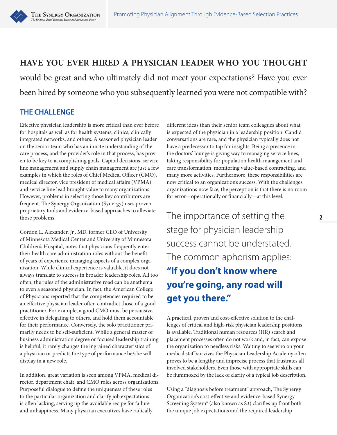

would be great and who ultimately did not meet your expectations? Have you ever been hired by someone who you subsequently learned you were not compatible with?

## **THE CHALLENGE**

THE SYNERGY ORGANIZATION

The Fuidence-Rased Executive Search and As

Effective physician leadership is more critical than ever before for hospitals as well as for health systems, clinics, clinically integrated networks, and others. A seasoned physician leader on the senior team who has an innate understanding of the care process, and the provider's role in that process, has proven to be key to accomplishing goals. Capital decisions, service line management and supply chain management are just a few examples in which the roles of Chief Medical Officer (CMO), medical director, vice president of medical affairs (VPMA) and service line lead brought value to many organizations. However, problems in selecting those key contributors are frequent. The Synergy Organization (Synergy) uses proven proprietary tools and evidence-based approaches to alleviate those problems.

Gordon L. Alexander, Jr., MD, former CEO of University of Minnesota Medical Center and University of Minnesota Children's Hospital, notes that physicians frequently enter their health care administration roles without the benefit of years of experience managing aspects of a complex organization. While clinical experience is valuable, it does not always translate to success in broader leadership roles. All too often, the rules of the administrative road can be anathema to even a seasoned physician. In fact, the American College of Physicians reported that the competencies required to be an effective physician leader often contradict those of a good practitioner. For example, a good CMO must be persuasive, effective in delegating to others, and hold them accountable for their performance. Conversely, the solo practitioner primarily needs to be self-sufficient. While a general master of business administration degree or focused leadership training is helpful, it rarely changes the ingrained characteristics of a physician or predicts the type of performance he/she will display in a new role.

In addition, great variation is seen among VPMA, medical director, department chair, and CMO roles across organizations. Purposeful dialogue to define the uniqueness of these roles to the particular organization and clarify job expectations is often lacking, serving up the avoidable recipe for failure and unhappiness. Many physician executives have radically

different ideas than their senior team colleagues about what is expected of the physician in a leadership position. Candid conversations are rare, and the physician typically does not have a predecessor to tap for insights. Being a presence in the doctors' lounge is giving way to managing service lines, taking responsibility for population health management and care transformation, monitoring value-based contracting, and many more activities. Furthermore, these responsibilities are now critical to an organization's success. With the challenges organizations now face, the perception is that there is no room for error—operationally or financially—at this level.

The importance of setting the stage for physician leadership success cannot be understated. The common aphorism applies: **"If you don't know where you're going, any road will get you there."**

A practical, proven and cost-effective solution to the challenges of critical and high-risk physician leadership positions is available. Traditional human resources (HR) search and placement processes often do not work and, in fact, can expose the organization to needless risks. Waiting to see who on your medical staff survives the Physician Leadership Academy often proves to be a lengthy and imprecise process that frustrates all involved stakeholders. Even those with appropriate skills can be flummoxed by the lack of clarity of a typical job description.

Using a "diagnosis before treatment" approach, The Synergy Organization's cost-effective and evidence-based Synergy Screening System® (also known as S3) clarifies up front both the unique job expectations and the required leadership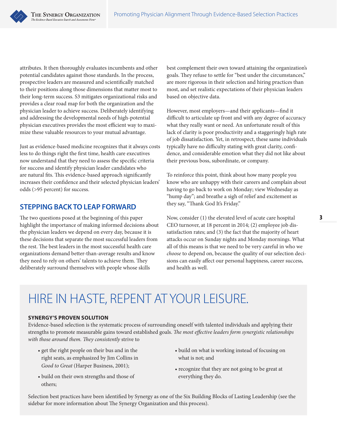attributes. It then thoroughly evaluates incumbents and other potential candidates against those standards. In the process, prospective leaders are measured and scientifically matched to their positions along those dimensions that matter most to their long-term success. S3 mitigates organizational risks and provides a clear road map for both the organization and the physician leader to achieve success. Deliberately identifying and addressing the developmental needs of high-potential physician executives provides the most efficient way to maximize these valuable resources to your mutual advantage.

THE SYNERGY ORGANIZATION

Just as evidence-based medicine recognizes that it always costs less to do things right the first time, health care executives now understand that they need to assess the specific criteria for success and identify physician leader candidates who are natural fits. This evidence-based approach significantly increases their confidence and their selected physician leaders' odds (>95 percent) for success.

### **STEPPING BACK TO LEAP FORWARD**

The two questions posed at the beginning of this paper highlight the importance of making informed decisions about the physician leaders we depend on every day, because it is these decisions that separate the most successful leaders from the rest. The best leaders in the most successful health care organizations demand better-than-average results and know they need to rely on others' talents to achieve them. They deliberately surround themselves with people whose skills

best complement their own toward attaining the organization's goals. They refuse to settle for "best under the circumstances," are more rigorous in their selection and hiring practices than most, and set realistic expectations of their physician leaders based on objective data.

However, most employers—and their applicants—find it difficult to articulate up front and with any degree of accuracy what they really want or need. An unfortunate result of this lack of clarity is poor productivity and a staggeringly high rate of job dissatisfaction. Yet, in retrospect, these same individuals typically have no difficulty stating with great clarity, confidence, and considerable emotion what they did not like about their previous boss, subordinate, or company.

To reinforce this point, think about how many people you know who are unhappy with their careers and complain about having to go back to work on Monday; view Wednesday as "hump day"; and breathe a sigh of relief and excitement as they say, "Thank God It's Friday."

Now, consider (1) the elevated level of acute care hospital CEO turnover, at 18 percent in 2014; (2) employee job dissatisfaction rates; and (3) the fact that the majority of heart attacks occur on Sunday nights and Monday mornings. What all of this means is that we need to be very careful in who we *choose* to depend on, because the quality of our selection decisions can easily affect our personal happiness, career success, and health as well.

# HIRE IN HASTE, REPENT AT YOUR LEISURE.

#### **SYNERGY'S PROVEN SOLUTION**

Evidence-based selection is the systematic process of surrounding oneself with talented individuals and applying their strengths to promote measurable gains toward established goals. *The most effective leaders form synergistic relationships with those around them. They consistently* strive to

- get the right people on their bus and in the right seats, as emphasized by Jim Collins in *Good to Great* (Harper Business, 2001);
- build on their own strengths and those of others;
- build on what is working instead of focusing on what is not; and
- recognize that they are not going to be great at everything they do.

Selection best practices have been identified by Synergy as one of the Six Building Blocks of Lasting Leadership (see the sidebar for more information about The Synergy Organization and this process).

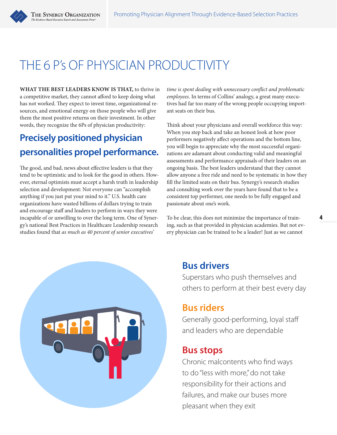

# THE 6 P's OF PHYSICIAN PRODUCTIVITY

**WHAT THE BEST LEADERS KNOW IS THAT,** to thrive in a competitive market, they cannot afford to keep doing what has not worked. They expect to invest time, organizational resources, and emotional energy on those people who will give them the most positive returns on their investment. In other words, they recognize the 6Ps of physician productivity:

# **Precisely positioned physician personalities propel performance.**

The good, and bad, news about effective leaders is that they tend to be optimistic and to look for the good in others. However, eternal optimists must accept a harsh truth in leadership selection and development: Not everyone can "accomplish anything if you just put your mind to it." U.S. health care organizations have wasted billions of dollars trying to train and encourage staff and leaders to perform in ways they were incapable of or unwilling to over the long term. One of Synergy's national Best Practices in Healthcare Leadership research studies found that *as much as 40 percent of senior executives'* 

*time is spent dealing with unnecessary conflict and problematic employees*. In terms of Collins' analogy, a great many executives had far too many of the wrong people occupying important seats on their bus.

Think about your physicians and overall workforce this way: When you step back and take an honest look at how poor performers negatively affect operations and the bottom line, you will begin to appreciate why the most successful organizations are adamant about conducting valid and meaningful assessments and performance appraisals of their leaders on an ongoing basis. The best leaders understand that they cannot allow anyone a free ride and need to be systematic in how they fill the limited seats on their bus. Synergy's research studies and consulting work over the years have found that to be a consistent top performer, one needs to be fully engaged and passionate about one's work.

To be clear, this does not minimize the importance of training, such as that provided in physician academies. But not every physician can be trained to be a leader! Just as we cannot



## **Bus drivers**

Superstars who push themselves and others to perform at their best every day

## **Bus riders**

Generally good-performing, loyal staff and leaders who are dependable

## **Bus stops**

Chronic malcontents who find ways to do "less with more," do not take responsibility for their actions and failures, and make our buses more pleasant when they exit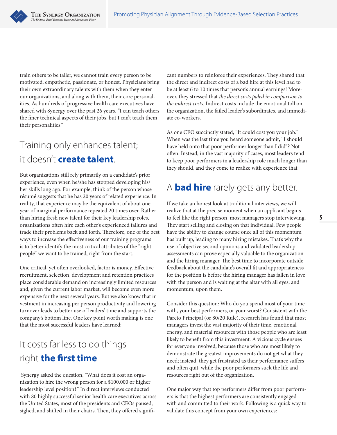train others to be taller, we cannot train every person to be motivated, empathetic, passionate, or honest. Physicians bring their own extraordinary talents with them when they enter our organizations, and along with them, their core personalities. As hundreds of progressive health care executives have shared with Synergy over the past 26 years, "I can teach others the finer technical aspects of their jobs, but I can't teach them their personalities."

## Training only enhances talent; it doesn't **create talent**.

But organizations still rely primarily on a candidate's prior experience, even when he/she has stopped developing his/ her skills long ago. For example, think of the person whose résumé suggests that he has 20 years of related experience. In reality, that experience may be the equivalent of about one year of marginal performance repeated 20 times over. Rather than hiring fresh new talent for their key leadership roles, organizations often hire each other's experienced failures and trade their problems back and forth. Therefore, one of the best ways to increase the effectiveness of our training programs is to better identify the most critical attributes of the "right people" we want to be trained, right from the start.

One critical, yet often overlooked, factor is money. Effective recruitment, selection, development and retention practices place considerable demand on increasingly limited resources and, given the current labor market, will become even more expensive for the next several years. But we also know that investment in increasing per person productivity and lowering turnover leads to better use of leaders' time and supports the company's bottom line. One key point worth making is one that the most successful leaders have learned:

# It costs far less to do things right **the first time**

 Synergy asked the question, "What does it cost an organization to hire the wrong person for a \$100,000 or higher leadership level position?" In direct interviews conducted with 80 highly successful senior health care executives across the United States, most of the presidents and CEOs paused, sighed, and shifted in their chairs. Then, they offered signifi-

cant numbers to reinforce their experiences. They shared that the direct and indirect costs of a bad hire at this level had to be at least 6 to 10 times that person's annual earnings! Moreover, they stressed that *the direct costs paled in comparison to the indirect costs*. Indirect costs include the emotional toll on the organization, the failed leader's subordinates, and immediate co-workers.

As one CEO succinctly stated, "It could cost you your job." When was the last time you heard someone admit, "I should have held onto that poor performer longer than I did"? Not often. Instead, in the vast majority of cases, most leaders tend to keep poor performers in a leadership role much longer than they should, and they come to realize with experience that

## A **bad hire** rarely gets any better.

If we take an honest look at traditional interviews, we will realize that at the precise moment when an applicant begins to feel like the right person, most managers stop interviewing. They start selling and closing on that individual. Few people have the ability to change course once all of this momentum has built up, leading to many hiring mistakes. That's why the use of objective second opinions and validated leadership assessments can prove especially valuable to the organization and the hiring manager. The best time to incorporate outside feedback about the candidate's overall fit and appropriateness for the position is before the hiring manager has fallen in love with the person and is waiting at the altar with all eyes, and momentum, upon them.

Consider this question: Who do you spend most of your time with, your best performers, or your worst? Consistent with the Pareto Principal (or 80/20 Rule), research has found that most managers invest the vast majority of their time, emotional energy, and material resources with those people who are least likely to benefit from this investment. A vicious cycle ensues for everyone involved, because those who are most likely to demonstrate the greatest improvements do not get what they need; instead, they get frustrated as their performance suffers and often quit, while the poor performers suck the life and resources right out of the organization.

One major way that top performers differ from poor performers is that the highest performers are consistently engaged with and committed to their work. Following is a quick way to validate this concept from your own experiences: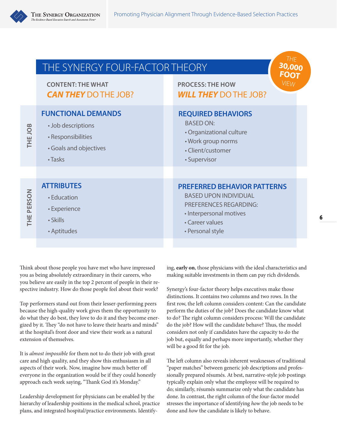

|             | THE SYNERGY FOUR-FACTOR THEORY<br><b>CONTENT: THE WHAT</b><br><b>CAN THEY DO THE JOB?</b>                  | THE<br>30,000<br><b>FOOT</b><br><b>VIEW</b><br><b>PROCESS: THE HOW</b><br><b>WILL THEY DO THE JOB?</b>                                                                |
|-------------|------------------------------------------------------------------------------------------------------------|-----------------------------------------------------------------------------------------------------------------------------------------------------------------------|
| THE JOB     | <b>FUNCTIONAL DEMANDS</b><br>• Job descriptions<br>· Responsibilities<br>• Goals and objectives<br>• Tasks | <b>REQUIRED BEHAVIORS</b><br><b>BASED ON:</b><br>· Organizational culture<br>• Work group norms<br>• Client/customer<br>· Supervisor                                  |
| PERSON<br>Ë | <b>ATTRIBUTES</b><br>• Education<br>• Experience<br>• Skills<br>• Aptitudes                                | <b>PREFERRED BEHAVIOR PATTERNS</b><br><b>BASED UPON INDIVIDUAL</b><br><b>PREFERENCES REGARDING:</b><br>· Interpersonal motives<br>• Career values<br>• Personal style |

Think about those people you have met who have impressed you as being absolutely extraordinary in their careers, who you believe are easily in the top 2 percent of people in their respective industry. How do those people feel about their work?

Top performers stand out from their lesser-performing peers because the high-quality work gives them the opportunity to do what they do best, they love to do it and they become energized by it. They "do not have to leave their hearts and minds" at the hospital's front door and view their work as a natural extension of themselves.

It is *almost impossible* for them not to do their job with great care and high quality, and they show this enthusiasm in all aspects of their work. Now, imagine how much better off everyone in the organization would be if they could honestly approach each week saying, "Thank God it's Monday."

Leadership development for physicians can be enabled by the hierarchy of leadership positions in the medical school, practice plans, and integrated hospital/practice environments. Identify-

ing, **early on**, those physicians with the ideal characteristics and making suitable investments in them can pay rich dividends.

Synergy's four-factor theory helps executives make those distinctions. It contains two columns and two rows. In the first row, the left column considers content: Can the candidate perform the duties of the job? Does the candidate know what to do? The right column considers process: Will the candidate do the job? How will the candidate behave? Thus, the model considers not only if candidates have the capacity to do the job but, equally and perhaps more importantly, whether they will be a good fit for the job.

The left column also reveals inherent weaknesses of traditional "paper matches" between generic job descriptions and professionally prepared résumés. At best, narrative-style job postings typically explain only what the employee will be required to do; similarly, résumés summarize only what the candidate has done. In contrast, the right column of the four-factor model stresses the importance of identifying *how* the job needs to be done and *how* the candidate is likely to behave.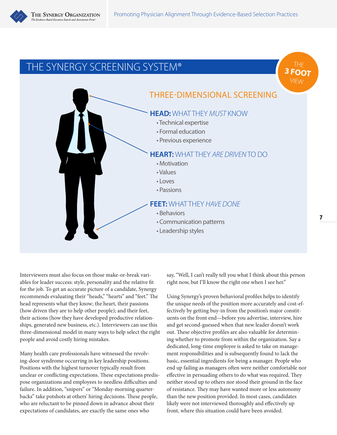

## THE SYNERGY SCREENING SYSTEM®



Interviewers must also focus on those make-or-break variables for leader success: style, personality and the relative fit for the job. To get an accurate picture of a candidate, Synergy recommends evaluating their "heads," "hearts" and "feet." The head represents what they know; the heart, their passions (how driven they are to help other people); and their feet, their actions (how they have developed productive relationships, generated new business, etc.). Interviewers can use this three-dimensional model in many ways to help select the right people and avoid costly hiring mistakes.

Many health care professionals have witnessed the revolving-door syndrome occurring in key leadership positions. Positions with the highest turnover typically result from unclear or conflicting expectations. These expectations predispose organizations and employees to needless difficulties and failure. In addition, "snipers" or "Monday-morning quarterbacks" take potshots at others' hiring decisions. These people, who are reluctant to be pinned down in advance about their expectations of candidates, are exactly the same ones who

say, "Well, I can't really tell you what I think about this person right now, but I'll know the right one when I see her."

Using Synergy's proven behavioral profiles helps to identify the unique needs of the position more accurately and cost-effectively by getting buy-in from the position's major constituents on the front end—before you advertise, interview, hire and get second-guessed when that new leader doesn't work out. These objective profiles are also valuable for determining whether to promote from within the organization. Say a dedicated, long-time employee is asked to take on management responsibilities and is subsequently found to lack the basic, essential ingredients for being a manager. People who end up failing as managers often were neither comfortable nor effective in persuading others to do what was required. They neither stood up to others nor stood their ground in the face of resistance. They may have wanted more or less autonomy than the new position provided. In most cases, candidates likely were not interviewed thoroughly and effectively up front, where this situation could have been avoided.

THE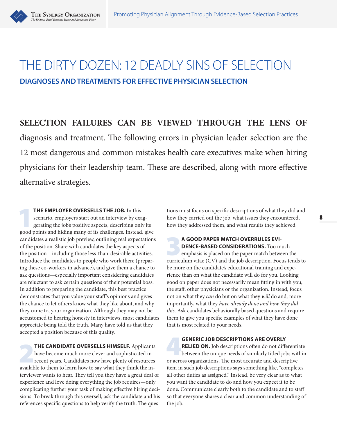

# THE DIRTY DOZEN: 12 DEADLY SINS OF SELECTION **DIAGNOSES AND TREATMENTS FOR EFFECTIVE PHYSICIAN SELECTION**

**SELECTION FAILURES CAN BE VIEWED THROUGH THE LENS OF** diagnosis and treatment. The following errors in physician leader selection are the 12 most dangerous and common mistakes health care executives make when hiring physicians for their leadership team. These are described, along with more effective alternative strategies.

**THE EMPLOYER OVERSELLS THE JOB.** In this scenario, employers start out an interview by exaggerating the job's positive aspects, describing only its good points and hiding means of its challenges. Instead, gives scenario, employers start out an interview by exaggood points and hiding many of its challenges. Instead, give candidates a realistic job preview, outlining real expectations of the position. Share with candidates the key aspects of the position—including those less-than-desirable activities. Introduce the candidates to people who work there (preparing these co-workers in advance), and give them a chance to ask questions—especially important considering candidates are reluctant to ask certain questions of their potential boss. In addition to preparing the candidate, this best practice demonstrates that you value your staff 's opinions and gives the chance to let others know what they like about, and why they came to, your organization. Although they may not be accustomed to hearing honesty in interviews, most candidates appreciate being told the truth. Many have told us that they accepted a position because of this quality.

**THE CANDIDATE OVERSELLS HIMSELF.** Applicants have become much more clever and sophisticated in recent years. Candidates now have plenty of resources available to them to learn hour to can what they think the inhave become much more clever and sophisticated in available to them to learn how to say what they think the interviewer wants to hear. They tell you they have a great deal of experience and love doing everything the job requires—only complicating further your task of making effective hiring decisions. To break through this oversell, ask the candidate and his references specific questions to help verify the truth. The ques-

tions must focus on specific descriptions of what they did and how they carried out the job, what issues they encountered, how they addressed them, and what results they achieved.

**A GOOD PAPER MATCH OVERRULES EVI-**<br>**DENCE-BASED CONSIDERATIONS.** Too much emphasis is placed on the paper match between the curriculum vites (CV) and the job description. Equation of **DENCE-BASED CONSIDERATIONS.** Too much curriculum vitae (CV) and the job description. Focus tends to be more on the candidate's educational training and experience than on what the candidate will do for you. Looking good on paper does not necessarily mean fitting in with you, the staff, other physicians or the organization. Instead, focus not on what they *can* do but on what they *will* do and, more importantly, what they *have already done and how they did this*. Ask candidates behaviorally based questions and require them to give you specific examples of what they have done that is most related to your needs.

**GENERIC JOB DESCRIPTIONS ARE OVERLY<br>
RELIED ON.** Job descriptions often do not differentiate<br>
between the unique needs of similarly titled jobs within<br>
or across arganizations. The meet accurate and descriptive. **RELIED ON.** Job descriptions often do not differentiate or across organizations. The most accurate and descriptive item in such job descriptions says something like, "completes all other duties as assigned." Instead, be very clear as to what you want the candidate to do and how you expect it to be done. Communicate clearly both to the candidate and to staff so that everyone shares a clear and common understanding of the job.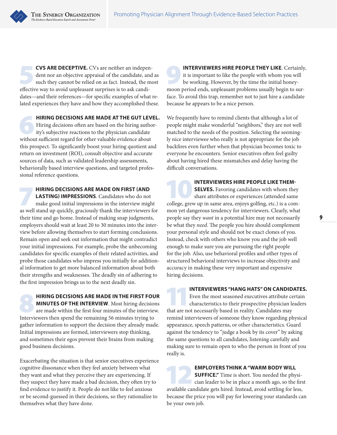**CVS ARE DECEPTIVE.** CVs are neither an independent nor an objective appraisal of the candidate, and such they cannot be relied on as fact. Instead, the more of relied with a such unpleasent surprises is to selve and i dent nor an objective appraisal of the candidate, and as such they cannot be relied on as fact. Instead, the most effective way to avoid unpleasant surprises is to ask candidates—and their references—for specific examples of what related experiences they have and how they accomplished these.

THE SYNERGY ORGANIZATION

The Fuidence-Rased Executive Search and As

**HIRING DECISIONS ARE MADE AT THE GUT LEVEL.**<br>
Hiring decisions often are based on the hiring author-<br>
ity's subjective reactions to the physician candidate<br>
without sufficient react for other valuable avidence about Hiring decisions often are based on the hiring authorwithout sufficient regard for other valuable evidence about this prospect. To significantly boost your hiring quotient and return on investment (ROI), consult objective and accurate sources of data, such as validated leadership assessments, behaviorally based interview questions, and targeted professional reference questions.

**HIRING DECISIONS ARE MADE ON FIRST (AND LASTING) IMPRESSIONS.** Candidates who do not make good initial impressions in the interview might **LASTING) IMPRESSIONS**. Candidates who do not as well stand up quickly, graciously thank the interviewers for their time and go home. Instead of making snap judgments, employers should wait at least 20 to 30 minutes into the interview before allowing themselves to start forming conclusions. Remain open and seek out information that might contradict your initial impressions. For example, probe the unbecoming candidates for specific examples of their related activities, and probe those candidates who impress you initially for additional information to get more balanced information about both their strengths and weaknesses. The deadly sin of adhering to the first impression brings us to the next deadly sin.

8 **HIRING DECISIONS ARE MADE IN THE FIRST FOUR MINUTES OF THE INTERVIEW**. Most hiring decisions are made within the first four minutes of the interview. Interviewers then spend the remaining 56 minutes trying to gather information to support the decision they already made. Initial impressions are formed, interviewers stop thinking, and sometimes their egos prevent their brains from making good business decisions.

Exacerbating the situation is that senior executives experience cognitive dissonance when they feel anxiety between what they want and what they perceive they are experiencing. If they suspect they have made a bad decision, they often try to find evidence to justify it. People do not like to feel anxious or be second-guessed in their decisions, so they rationalize to themselves what they have done.

**INTERVIEWERS HIRE PEOPLE THEY LIKE**. Certainly, it is important to like the people with whom you will be working. However, by the time the initial honeyit is important to like the people with whom you will be working. However, by the time the initial honeymoon period ends, unpleasant problems usually begin to surface. To avoid this trap, remember not to just hire a candidate because he appears to be a nice person.

We frequently have to remind clients that although a lot of people might make wonderful "neighbors," they are not well matched to the needs of the position. Selecting the seemingly nice interviewee who really is not appropriate for the job backfires even further when that physician becomes toxic to everyone he encounters. Senior executives often feel guilty about having hired these mismatches and delay having the difficult conversations.

**INTERVIEWERS HIRE PEOPLE LIKE THEM-<br>SELVES.** Favoring candidates with whom they<br>share attributes or experiences (attended same<br>collors, arou un in same area onious solfing, ato ) is a some **SELVES.** Favoring candidates with whom they college, grew up in same area, enjoys golfing, etc.) is a common yet dangerous tendency for interviewers. Clearly, what people say they *want* in a potential hire may not necessarily be what they *need*. The people you hire should complement your personal style and should not be exact clones of you. Instead, check with others who know you and the job well enough to make sure you are pursuing the right people for the job. Also, use behavioral profiles and other types of structured behavioral interviews to increase objectivity and accuracy in making these very important and expensive hiring decisions.

**INTERVIEWERS "HANG HATS" ON CANDIDATES.**<br>
Even the most seasoned executives attribute certain<br>
characteristics to their prospective physician leaders<br>
that are not necessarily besed in reality Candidates may Even the most seasoned executives attribute certain that are not necessarily based in reality. Candidates may remind interviewers of someone they know regarding physical appearance, speech patterns, or other characteristics. Guard against the tendency to "judge a book by its cover" by asking the same questions to all candidates, listening carefully and making sure to remain open to who the person in front of you really is.

**EMPLOYERS THINK A "WARM BODY WILL SUFFICE."** Time is short. You needed the physician leader to be in place a month ago, so the first available condidate aste bired. Instead, avaid eattling for less **SUFFICE."** Time is short. You needed the physiavailable candidate gets hired. Instead, avoid settling for less, because the price you will pay for lowering your standards can be your own job.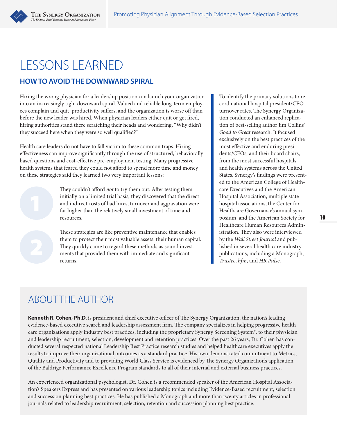



### **HOW TO AVOID THE DOWNWARD SPIRAL**

Hiring the wrong physician for a leadership position can launch your organization into an increasingly tight downward spiral. Valued and reliable long-term employees complain and quit, productivity suffers, and the organization is worse off than before the new leader was hired. When physician leaders either quit or get fired, hiring authorities stand there scratching their heads and wondering, "Why didn't they succeed here when they were so well qualified?"

Health care leaders do not have to fall victim to these common traps. Hiring effectiveness can improve significantly through the use of structured, behaviorally based questions and cost-effective pre-employment testing. Many progressive health systems that feared they could not afford to spend more time and money on these strategies said they learned two very important lessons:

> They couldn't afford *not* to try them out. After testing them initially on a limited trial basis, they discovered that the direct and indirect costs of bad hires, turnover and aggravation were far higher than the relatively small investment of time and resources.

These strategies are like preventive maintenance that enables them to protect their most valuable assets: their human capital. They quickly came to regard these methods as sound investments that provided them with immediate and significant returns.

To identify the primary solutions to record national hospital president/CEO turnover rates, The Synergy Organization conducted an enhanced replication of best-selling author Jim Collins' *Good to Great* research. It focused exclusively on the best practices of the most effective and enduring presidents/CEOs, and their board chairs, from the most successful hospitals and health systems across the United States. Synergy's findings were presented to the American College of Healthcare Executives and the American Hospital Association, multiple state hospital associations, the Center for Healthcare Governance's annual symposium, and the American Society for Healthcare Human Resources Administration. They also were interviewed by the *Wall Street Journal* and published in several health care industry publications, including a Monograph, *Trustee*, *hfm*, and *HR Pulse*.

## ABOUT THE AUTHOR

**Kenneth R. Cohen, Ph.D.** is president and chief executive officer of The Synergy Organization, the nation's leading evidence-based executive search and leadership assessment firm. The company specializes in helping progressive health care organizations apply industry best practices, including the proprietary Synergy Screening System®, to their physician and leadership recruitment, selection, development and retention practices. Over the past 26 years, Dr. Cohen has conducted several respected national Leadership Best Practice research studies and helped healthcare executives apply the results to improve their organizational outcomes as a standard practice. His own demonstrated commitment to Metrics, Quality and Productivity and to providing World Class Service is evidenced by The Synergy Organization's application of the Baldrige Performance Excellence Program standards to all of their internal and external business practices.

An experienced organizational psychologist, Dr. Cohen is a recommended speaker of the American Hospital Association's Speakers Express and has presented on various leadership topics including Evidence-Based recruitment, selection and succession planning best practices. He has published a Monograph and more than twenty articles in professional journals related to leadership recruitment, selection, retention and succession planning best practice.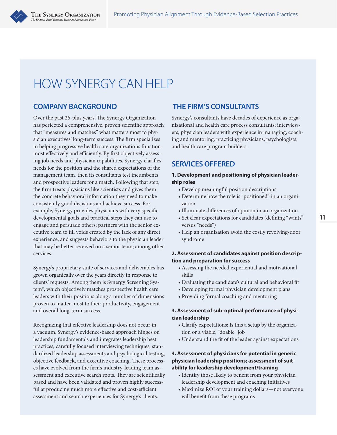# HOW SYNERGY CAN HELP

## **COMPANY BACKGROUND**

Over the past 26-plus years, The Synergy Organization has perfected a comprehensive, proven scientific approach that "measures and matches" what matters most to physician executives' long-term success. The firm specializes in helping progressive health care organizations function most effectively and efficiently. By first objectively assessing job needs and physician capabilities, Synergy clarifies needs for the position and the shared expectations of the management team, then its consultants test incumbents and prospective leaders for a match. Following that step, the firm treats physicians like scientists and gives them the concrete behavioral information they need to make consistently good decisions and achieve success. For example, Synergy provides physicians with very specific developmental goals and practical steps they can use to engage and persuade others; partners with the senior executive team to fill voids created by the lack of any direct experience; and suggests behaviors to the physician leader that may be better received on a senior team; among other services.

Synergy's proprietary suite of services and deliverables has grown organically over the years directly in response to clients' requests. Among them is Synergy Screening System®, which objectively matches prospective health care leaders with their positions along a number of dimensions proven to matter most to their productivity, engagement and overall long-term success.

Recognizing that effective leadership does not occur in a vacuum, Synergy's evidence-based approach hinges on leadership fundamentals and integrates leadership best practices, carefully focused interviewing techniques, standardized leadership assessments and psychological testing, objective feedback, and executive coaching. These processes have evolved from the firm's industry-leading team assessment and executive search roots. They are scientifically based and have been validated and proven highly successful at producing much more effective and cost-efficient assessment and search experiences for Synergy's clients.

## **THE FIRM'S CONSULTANTS**

Synergy's consultants have decades of experience as organizational and health care process consultants; interviewers; physician leaders with experience in managing, coaching and mentoring; practicing physicians; psychologists; and health care program builders.

### **SERVICES OFFERED**

#### **1. Development and positioning of physician leadership roles**

- Develop meaningful position descriptions
- Determine how the role is "positioned" in an organization
- Illuminate differences of opinion in an organization
- Set clear expectations for candidates (defining "wants" versus "needs")
- Help an organization avoid the costly revolving-door syndrome

#### **2. Assessment of candidates against position description and preparation for success**

- Assessing the needed experiential and motivational skills
- Evaluating the candidate's cultural and behavioral fit
- Developing formal physician development plans
- Providing formal coaching and mentoring

#### **3. Assessment of sub-optimal performance of physician leadership**

- Clarify expectations: Is this a setup by the organization or a viable, "doable" job
- Understand the fit of the leader against expectations

#### **4. Assessment of physicians for potential in generic physician leadership positions; assessment of suitability for leadership development/training**

- Identify those likely to benefit from your physician leadership development and coaching initiatives
- Maximize ROI of your training dollars—not everyone will benefit from these programs